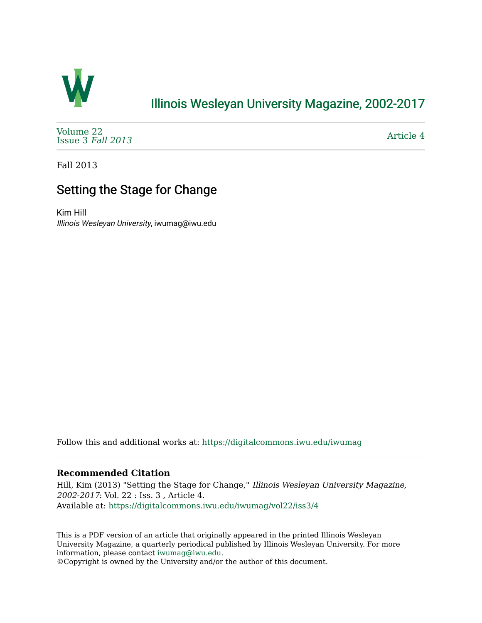

## [Illinois Wesleyan University Magazine, 2002-2017](https://digitalcommons.iwu.edu/iwumag)

[Volume 22](https://digitalcommons.iwu.edu/iwumag/vol22)  [Issue 3](https://digitalcommons.iwu.edu/iwumag/vol22/iss3) Fall 2013

[Article 4](https://digitalcommons.iwu.edu/iwumag/vol22/iss3/4) 

Fall 2013

# Setting the Stage for Change

Kim Hill Illinois Wesleyan University, iwumag@iwu.edu

Follow this and additional works at: [https://digitalcommons.iwu.edu/iwumag](https://digitalcommons.iwu.edu/iwumag?utm_source=digitalcommons.iwu.edu%2Fiwumag%2Fvol22%2Fiss3%2F4&utm_medium=PDF&utm_campaign=PDFCoverPages) 

### **Recommended Citation**

Hill, Kim (2013) "Setting the Stage for Change," Illinois Wesleyan University Magazine, 2002-2017: Vol. 22 : Iss. 3 , Article 4. Available at: [https://digitalcommons.iwu.edu/iwumag/vol22/iss3/4](https://digitalcommons.iwu.edu/iwumag/vol22/iss3/4?utm_source=digitalcommons.iwu.edu%2Fiwumag%2Fvol22%2Fiss3%2F4&utm_medium=PDF&utm_campaign=PDFCoverPages)

This is a PDF version of an article that originally appeared in the printed Illinois Wesleyan University Magazine, a quarterly periodical published by Illinois Wesleyan University. For more information, please contact [iwumag@iwu.edu](mailto:iwumag@iwu.edu).

©Copyright is owned by the University and/or the author of this document.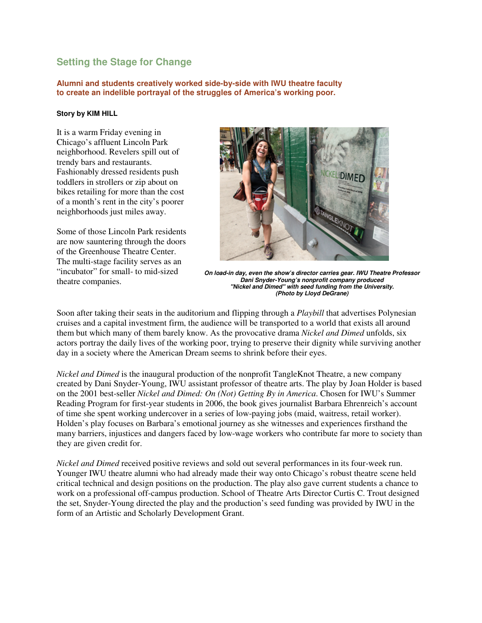### **Setting the Stage for Change**

**Alumni and students creatively worked side-by-side with IWU theatre faculty to create an indelible portrayal of the struggles of America's working poor.** 

#### **Story by KIM HILL**

It is a warm Friday evening in Chicago's affluent Lincoln Park neighborhood. Revelers spill out of trendy bars and restaurants. Fashionably dressed residents push toddlers in strollers or zip about on bikes retailing for more than the cost of a month's rent in the city's poorer neighborhoods just miles away.

Some of those Lincoln Park residents are now sauntering through the doors of the Greenhouse Theatre Center. The multi-stage facility serves as an "incubator" for small- to mid-sized theatre companies.



**On load-in day, even the show's director carries gear. IWU Theatre Professor Dani Snyder-Young's nonprofit company produced "Nickel and Dimed" with seed funding from the University. (Photo by Lloyd DeGrane)**

Soon after taking their seats in the auditorium and flipping through a *Playbill* that advertises Polynesian cruises and a capital investment firm, the audience will be transported to a world that exists all around them but which many of them barely know. As the provocative drama *Nickel and Dimed* unfolds, six actors portray the daily lives of the working poor, trying to preserve their dignity while surviving another day in a society where the American Dream seems to shrink before their eyes.

*Nickel and Dimed* is the inaugural production of the nonprofit TangleKnot Theatre, a new company created by Dani Snyder-Young, IWU assistant professor of theatre arts. The play by Joan Holder is based on the 2001 best-seller *Nickel and Dimed: On (Not) Getting By in America*. Chosen for IWU's Summer Reading Program for first-year students in 2006, the book gives journalist Barbara Ehrenreich's account of time she spent working undercover in a series of low-paying jobs (maid, waitress, retail worker). Holden's play focuses on Barbara's emotional journey as she witnesses and experiences firsthand the many barriers, injustices and dangers faced by low-wage workers who contribute far more to society than they are given credit for.

*Nickel and Dimed* received positive reviews and sold out several performances in its four-week run. Younger IWU theatre alumni who had already made their way onto Chicago's robust theatre scene held critical technical and design positions on the production. The play also gave current students a chance to work on a professional off-campus production. School of Theatre Arts Director Curtis C. Trout designed the set, Snyder-Young directed the play and the production's seed funding was provided by IWU in the form of an Artistic and Scholarly Development Grant.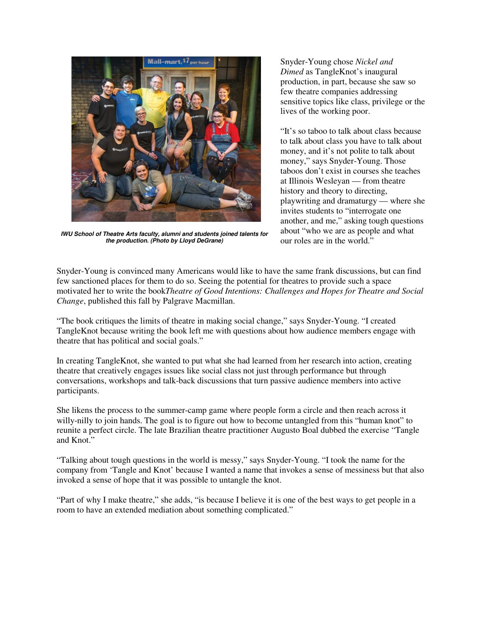

**IWU School of Theatre Arts faculty, alumni and students joined talents for the production. (Photo by Lloyd DeGrane)**

Snyder-Young chose *Nickel and Dimed* as TangleKnot's inaugural production, in part, because she saw so few theatre companies addressing sensitive topics like class, privilege or the lives of the working poor.

"It's so taboo to talk about class because to talk about class you have to talk about money, and it's not polite to talk about money," says Snyder-Young. Those taboos don't exist in courses she teaches at Illinois Wesleyan — from theatre history and theory to directing, playwriting and dramaturgy — where she invites students to "interrogate one another, and me," asking tough questions about "who we are as people and what our roles are in the world."

Snyder-Young is convinced many Americans would like to have the same frank discussions, but can find few sanctioned places for them to do so. Seeing the potential for theatres to provide such a space motivated her to write the book*Theatre of Good Intentions: Challenges and Hopes for Theatre and Social Change*, published this fall by Palgrave Macmillan.

"The book critiques the limits of theatre in making social change," says Snyder-Young. "I created TangleKnot because writing the book left me with questions about how audience members engage with theatre that has political and social goals."

In creating TangleKnot, she wanted to put what she had learned from her research into action, creating theatre that creatively engages issues like social class not just through performance but through conversations, workshops and talk-back discussions that turn passive audience members into active participants.

She likens the process to the summer-camp game where people form a circle and then reach across it willy-nilly to join hands. The goal is to figure out how to become untangled from this "human knot" to reunite a perfect circle. The late Brazilian theatre practitioner Augusto Boal dubbed the exercise "Tangle and Knot."

"Talking about tough questions in the world is messy," says Snyder-Young. "I took the name for the company from 'Tangle and Knot' because I wanted a name that invokes a sense of messiness but that also invoked a sense of hope that it was possible to untangle the knot.

"Part of why I make theatre," she adds, "is because I believe it is one of the best ways to get people in a room to have an extended mediation about something complicated."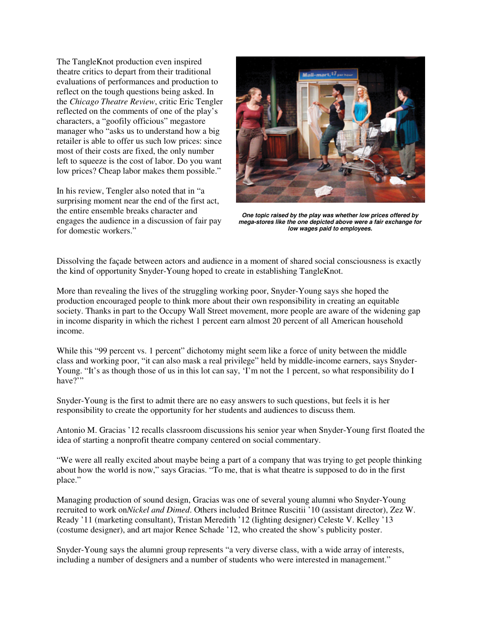The TangleKnot production even inspired theatre critics to depart from their traditional evaluations of performances and production to reflect on the tough questions being asked. In the *Chicago Theatre Review*, critic Eric Tengler reflected on the comments of one of the play's characters, a "goofily officious" megastore manager who "asks us to understand how a big retailer is able to offer us such low prices: since most of their costs are fixed, the only number left to squeeze is the cost of labor. Do you want low prices? Cheap labor makes them possible."

In his review, Tengler also noted that in "a surprising moment near the end of the first act, the entire ensemble breaks character and engages the audience in a discussion of fair pay for domestic workers."



**One topic raised by the play was whether low prices offered by mega-stores like the one depicted above were a fair exchange for low wages paid to employees.**

Dissolving the façade between actors and audience in a moment of shared social consciousness is exactly the kind of opportunity Snyder-Young hoped to create in establishing TangleKnot.

More than revealing the lives of the struggling working poor, Snyder-Young says she hoped the production encouraged people to think more about their own responsibility in creating an equitable society. Thanks in part to the Occupy Wall Street movement, more people are aware of the widening gap in income disparity in which the richest 1 percent earn almost 20 percent of all American household income.

While this "99 percent vs. 1 percent" dichotomy might seem like a force of unity between the middle class and working poor, "it can also mask a real privilege" held by middle-income earners, says Snyder-Young. "It's as though those of us in this lot can say, 'I'm not the 1 percent, so what responsibility do I have?"

Snyder-Young is the first to admit there are no easy answers to such questions, but feels it is her responsibility to create the opportunity for her students and audiences to discuss them.

Antonio M. Gracias '12 recalls classroom discussions his senior year when Snyder-Young first floated the idea of starting a nonprofit theatre company centered on social commentary.

"We were all really excited about maybe being a part of a company that was trying to get people thinking about how the world is now," says Gracias. "To me, that is what theatre is supposed to do in the first place."

Managing production of sound design, Gracias was one of several young alumni who Snyder-Young recruited to work on*Nickel and Dimed*. Others included Britnee Ruscitii '10 (assistant director), Zez W. Ready '11 (marketing consultant), Tristan Meredith '12 (lighting designer) Celeste V. Kelley '13 (costume designer), and art major Renee Schade '12, who created the show's publicity poster.

Snyder-Young says the alumni group represents "a very diverse class, with a wide array of interests, including a number of designers and a number of students who were interested in management."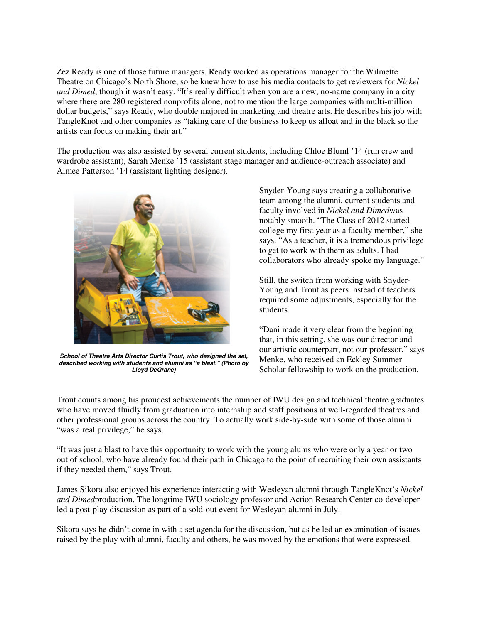Zez Ready is one of those future managers. Ready worked as operations manager for the Wilmette Theatre on Chicago's North Shore, so he knew how to use his media contacts to get reviewers for *Nickel and Dimed*, though it wasn't easy. "It's really difficult when you are a new, no-name company in a city where there are 280 registered nonprofits alone, not to mention the large companies with multi-million dollar budgets," says Ready, who double majored in marketing and theatre arts. He describes his job with TangleKnot and other companies as "taking care of the business to keep us afloat and in the black so the artists can focus on making their art."

The production was also assisted by several current students, including Chloe Bluml '14 (run crew and wardrobe assistant), Sarah Menke '15 (assistant stage manager and audience-outreach associate) and Aimee Patterson '14 (assistant lighting designer).



**School of Theatre Arts Director Curtis Trout, who designed the set, described working with students and alumni as "a blast." (Photo by Lloyd DeGrane)**

Snyder-Young says creating a collaborative team among the alumni, current students and faculty involved in *Nickel and Dimed*was notably smooth. "The Class of 2012 started college my first year as a faculty member," she says. "As a teacher, it is a tremendous privilege to get to work with them as adults. I had collaborators who already spoke my language."

Still, the switch from working with Snyder-Young and Trout as peers instead of teachers required some adjustments, especially for the students.

"Dani made it very clear from the beginning that, in this setting, she was our director and our artistic counterpart, not our professor," says Menke, who received an Eckley Summer Scholar fellowship to work on the production.

Trout counts among his proudest achievements the number of IWU design and technical theatre graduates who have moved fluidly from graduation into internship and staff positions at well-regarded theatres and other professional groups across the country. To actually work side-by-side with some of those alumni "was a real privilege," he says.

"It was just a blast to have this opportunity to work with the young alums who were only a year or two out of school, who have already found their path in Chicago to the point of recruiting their own assistants if they needed them," says Trout.

James Sikora also enjoyed his experience interacting with Wesleyan alumni through TangleKnot's *Nickel and Dimed*production. The longtime IWU sociology professor and Action Research Center co-developer led a post-play discussion as part of a sold-out event for Wesleyan alumni in July.

Sikora says he didn't come in with a set agenda for the discussion, but as he led an examination of issues raised by the play with alumni, faculty and others, he was moved by the emotions that were expressed.